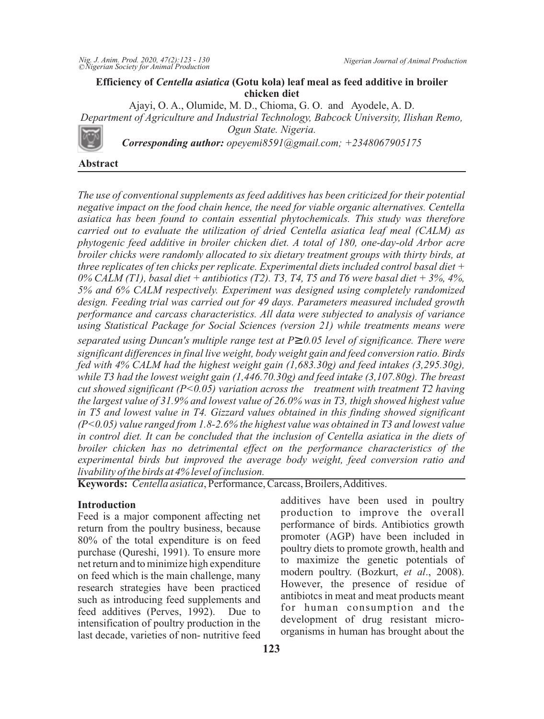# **Efficiency of** *Centella asiatica* **(Gotu kola) leaf meal as feed additive in broiler chicken diet**

Ajayi, O. A., Olumide, M. D., Chioma, G. O. and Ayodele, A. D.

*Department of Agriculture and Industrial Technology, Babcock University, Ilishan Remo, Ogun State. Nigeria.*

*Corresponding author: opeyemi8591@gmail.com; +2348067905175*

#### **Abstract**

*The use of conventional supplements as feed additives has been criticized for their potential negative impact on the food chain hence, the need for viable organic alternatives. Centella asiatica has been found to contain essential phytochemicals. This study was therefore carried out to evaluate the utilization of dried Centella asiatica leaf meal (CALM) as phytogenic feed additive in broiler chicken diet. A total of 180, one-day-old Arbor acre broiler chicks were randomly allocated to six dietary treatment groups with thirty birds, at three replicates of ten chicks per replicate. Experimental diets included control basal diet + 0% CALM (T1), basal diet + antibiotics (T2). T3, T4, T5 and T6 were basal diet + 3%, 4%, 5% and 6% CALM respectively. Experiment was designed using completely randomized design. Feeding trial was carried out for 49 days. Parameters measured included growth performance and carcass characteristics. All data were subjected to analysis of variance using Statistical Package for Social Sciences (version 21) while treatments means were separated using Duncan's multiple range test at P 0.05 level of significance. There were significant differences in final live weight, body weight gain and feed conversion ratio. Birds fed with 4% CALM had the highest weight gain (1,683.30g) and feed intakes (3,295.30g), while T3 had the lowest weight gain (1,446.70.30g) and feed intake (3,107.80g). The breast cut showed significant (P<0.05) variation across the treatment with treatment T2 having the largest value of 31.9% and lowest value of 26.0% was in T3, thigh showed highest value in T5 and lowest value in T4. Gizzard values obtained in this finding showed significant (P<0.05) value ranged from 1.8-2.6% the highest value was obtained in T3 and lowest value in control diet. It can be concluded that the inclusion of Centella asiatica in the diets of broiler chicken has no detrimental effect on the performance characteristics of the experimental birds but improved the average body weight, feed conversion ratio and livability of the birds at 4% level of inclusion.*

**Keywords:** *Centella asiatica*, Performance, Carcass, Broilers, Additives.

# **Introduction**

Feed is a major component affecting net return from the poultry business, because 80% of the total expenditure is on feed purchase (Qureshi, 1991). To ensure more net return and to minimize high expenditure on feed which is the main challenge, many research strategies have been practiced such as introducing feed supplements and feed additives (Perves, 1992). Due to intensification of poultry production in the last decade, varieties of non- nutritive feed

additives have been used in poultry production to improve the overall performance of birds. Antibiotics growth promoter (AGP) have been included in poultry diets to promote growth, health and to maximize the genetic potentials of modern poultry. (Bozkurt, *et al*., 2008). However, the presence of residue of antibiotcs in meat and meat products meant for human consumption and the development of drug resistant microorganisms in human has brought about the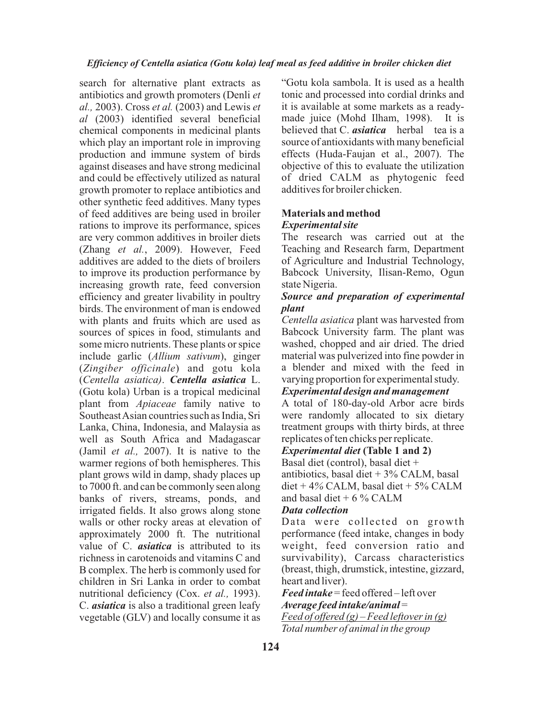search for alternative plant extracts as antibiotics and growth promoters (Denli *et al.,* 2003). Cross *et al.* (2003) and Lewis *et al* (2003) identified several beneficial chemical components in medicinal plants which play an important role in improving production and immune system of birds against diseases and have strong medicinal and could be effectively utilized as natural growth promoter to replace antibiotics and other synthetic feed additives. Many types of feed additives are being used in broiler rations to improve its performance, spices are very common additives in broiler diets (Zhang *et al.*, 2009). However, Feed additives are added to the diets of broilers to improve its production performance by increasing growth rate, feed conversion efficiency and greater livability in poultry birds. The environment of man is endowed with plants and fruits which are used as sources of spices in food, stimulants and some micro nutrients. These plants or spice include garlic (*Allium sativum*), ginger (*Zingiber officinale*) and gotu kola (*Centella asiatica)*. *Centella asiatica* L. (Gotu kola) Urban is a tropical medicinal plant from *Apiaceae* family native to Southeast Asian countries such as India, Sri Lanka, China, Indonesia, and Malaysia as well as South Africa and Madagascar (Jamil *et al.,* 2007). It is native to the warmer regions of both hemispheres. This plant grows wild in damp, shady places up to 7000 ft. and can be commonly seen along banks of rivers, streams, ponds, and irrigated fields. It also grows along stone walls or other rocky areas at elevation of approximately 2000 ft. The nutritional value of C. *asiatica* is attributed to its richness in carotenoids and vitamins C and B complex. The herb is commonly used for children in Sri Lanka in order to combat nutritional deficiency (Cox. *et al.,* 1993). C. *asiatica* is also a traditional green leafy vegetable (GLV) and locally consume it as

"Gotu kola sambola. It is used as a health tonic and processed into cordial drinks and it is available at some markets as a readymade juice (Mohd Ilham, 1998). It is believed that C. *asiatica* herbal tea is a source of antioxidants with many beneficial effects (Huda-Faujan et al., 2007). The objective of this to evaluate the utilization of dried CALM as phytogenic feed additives for broiler chicken.

# **Materials and method**  *Experimental site*

The research was carried out at the Teaching and Research farm, Department of Agriculture and Industrial Technology, Babcock University, Ilisan-Remo, Ogun state Nigeria.

# *Source and preparation of experimental plant*

*Centella asiatica* plant was harvested from Babcock University farm. The plant was washed, chopped and air dried. The dried material was pulverized into fine powder in a blender and mixed with the feed in varying proportion for experimental study.

# *Experimental design and management*

A total of 180-day-old Arbor acre birds were randomly allocated to six dietary treatment groups with thirty birds, at three replicates of ten chicks per replicate.

#### *Experimental diet* **(Table 1 and 2)**

Basal diet (control), basal diet +

antibiotics, basal diet  $+3\%$  CALM, basal diet + 4*%* CALM, basal diet + 5% CALM and basal diet  $+ 6 \%$  CALM

## *Data collection*

Data were collected on growth performance (feed intake, changes in body weight, feed conversion ratio and survivability), Carcass characteristics (breast, thigh, drumstick, intestine, gizzard, heart and liver).

*Feed intake* = feed offered – left over *Average feed intake/animal* =

*Feed of offered (g) – Feed leftover in (g) Total number of animal in the group*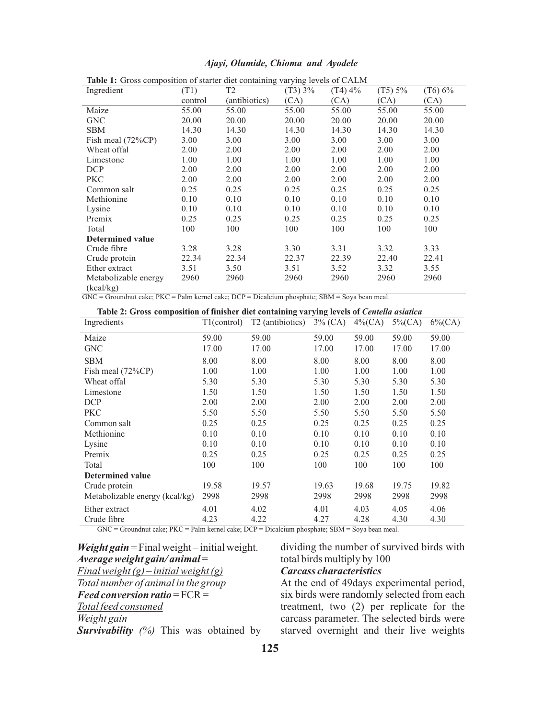| Table 1: Gross composition of starter diet containing varying levels of CALM |         |                |         |         |         |         |  |  |
|------------------------------------------------------------------------------|---------|----------------|---------|---------|---------|---------|--|--|
| Ingredient                                                                   | (T1)    | T <sub>2</sub> | (T3) 3% | (T4) 4% | (T5) 5% | (T6) 6% |  |  |
|                                                                              | control | (antibiotics)  | (CA)    | (CA)    | (CA)    | (CA)    |  |  |
| Maize                                                                        | 55.00   | 55.00          | 55.00   | 55.00   | 55.00   | 55.00   |  |  |
| <b>GNC</b>                                                                   | 20.00   | 20.00          | 20.00   | 20.00   | 20.00   | 20.00   |  |  |
| <b>SBM</b>                                                                   | 14.30   | 14.30          | 14.30   | 14.30   | 14.30   | 14.30   |  |  |
| Fish meal $(72\%CP)$                                                         | 3.00    | 3.00           | 3.00    | 3.00    | 3.00    | 3.00    |  |  |
| Wheat offal                                                                  | 2.00    | 2.00           | 2.00    | 2.00    | 2.00    | 2.00    |  |  |
| Limestone                                                                    | 1.00    | 1.00           | 1.00    | 1.00    | 1.00    | 1.00    |  |  |
| DCP                                                                          | 2.00    | 2.00           | 2.00    | 2.00    | 2.00    | 2.00    |  |  |
| <b>PKC</b>                                                                   | 2.00    | 2.00           | 2.00    | 2.00    | 2.00    | 2.00    |  |  |
| Common salt                                                                  | 0.25    | 0.25           | 0.25    | 0.25    | 0.25    | 0.25    |  |  |
| Methionine                                                                   | 0.10    | 0.10           | 0.10    | 0.10    | 0.10    | 0.10    |  |  |
| Lysine                                                                       | 0.10    | 0.10           | 0.10    | 0.10    | 0.10    | 0.10    |  |  |
| Premix                                                                       | 0.25    | 0.25           | 0.25    | 0.25    | 0.25    | 0.25    |  |  |
| Total                                                                        | 100     | 100            | 100     | 100     | 100     | 100     |  |  |
| <b>Determined value</b>                                                      |         |                |         |         |         |         |  |  |
| Crude fibre                                                                  | 3.28    | 3.28           | 3.30    | 3.31    | 3.32    | 3.33    |  |  |
| Crude protein                                                                | 22.34   | 22.34          | 22.37   | 22.39   | 22.40   | 22.41   |  |  |
| Ether extract                                                                | 3.51    | 3.50           | 3.51    | 3.52    | 3.32    | 3.55    |  |  |
| Metabolizable energy<br>(kcal/kg)                                            | 2960    | 2960           | 2960    | 2960    | 2960    | 2960    |  |  |

#### *Ajayi, Olumide, Chioma and Ayodele*

GNC = Groundnut cake; PKC = Palm kernel cake; DCP = Dicalcium phosphate; SBM = Soya bean meal.

| Table 2: Gross composition of finisher diet containing varying levels of Centella asiatica |             |                              |            |            |            |            |  |  |
|--------------------------------------------------------------------------------------------|-------------|------------------------------|------------|------------|------------|------------|--|--|
| Ingredients                                                                                | T1(control) | T <sub>2</sub> (antibiotics) | $3\%$ (CA) | $4\%$ (CA) | $5\%$ (CA) | $6\%$ (CA) |  |  |
| Maize                                                                                      | 59.00       | 59.00                        | 59.00      | 59.00      | 59.00      | 59.00      |  |  |
| <b>GNC</b>                                                                                 | 17.00       | 17.00                        | 17.00      | 17.00      | 17.00      | 17.00      |  |  |
| <b>SBM</b>                                                                                 | 8.00        | 8.00                         | 8.00       | 8.00       | 8.00       | 8.00       |  |  |
| Fish meal $(72\%CP)$                                                                       | 1.00        | 1.00                         | 1.00       | 1.00       | 1.00       | 1.00       |  |  |
| Wheat offal                                                                                | 5.30        | 5.30                         | 5.30       | 5.30       | 5.30       | 5.30       |  |  |
| Limestone                                                                                  | 1.50        | 1.50                         | 1.50       | 1.50       | 1.50       | 1.50       |  |  |
| <b>DCP</b>                                                                                 | 2.00        | 2.00                         | 2.00       | 2.00       | 2.00       | 2.00       |  |  |
| <b>PKC</b>                                                                                 | 5.50        | 5.50                         | 5.50       | 5.50       | 5.50       | 5.50       |  |  |
| Common salt                                                                                | 0.25        | 0.25                         | 0.25       | 0.25       | 0.25       | 0.25       |  |  |
| Methionine                                                                                 | 0.10        | 0.10                         | 0.10       | 0.10       | 0.10       | 0.10       |  |  |
| Lysine                                                                                     | 0.10        | 0.10                         | 0.10       | 0.10       | 0.10       | 0.10       |  |  |
| Premix                                                                                     | 0.25        | 0.25                         | 0.25       | 0.25       | 0.25       | 0.25       |  |  |
| Total                                                                                      | 100         | 100                          | 100        | 100        | 100        | 100        |  |  |
| Determined value                                                                           |             |                              |            |            |            |            |  |  |
| Crude protein                                                                              | 19.58       | 19.57                        | 19.63      | 19.68      | 19.75      | 19.82      |  |  |
| Metabolizable energy (kcal/kg)                                                             | 2998        | 2998                         | 2998       | 2998       | 2998       | 2998       |  |  |
| Ether extract                                                                              | 4.01        | 4.02                         | 4.01       | 4.03       | 4.05       | 4.06       |  |  |
| Crude fibre                                                                                | 4.23        | 4.22                         | 4.27       | 4.28       | 4.30       | 4.30       |  |  |

GNC = Groundnut cake; PKC = Palm kernel cake; DCP = Dicalcium phosphate; SBM = Soya bean meal.

*Weight gain* = Final weight – initial weight. *Average weight gain/ animal* = *Final weight (g) – initial weight (g) Total number of animal in the group Feed conversion ratio* = FCR = *Total feed consumed Weight gain Survivability (%)* This was obtained by

dividing the number of survived birds with total birds multiply by 100

# *Carcass characteristics*

At the end of 49days experimental period, six birds were randomly selected from each treatment, two (2) per replicate for the carcass parameter. The selected birds were starved overnight and their live weights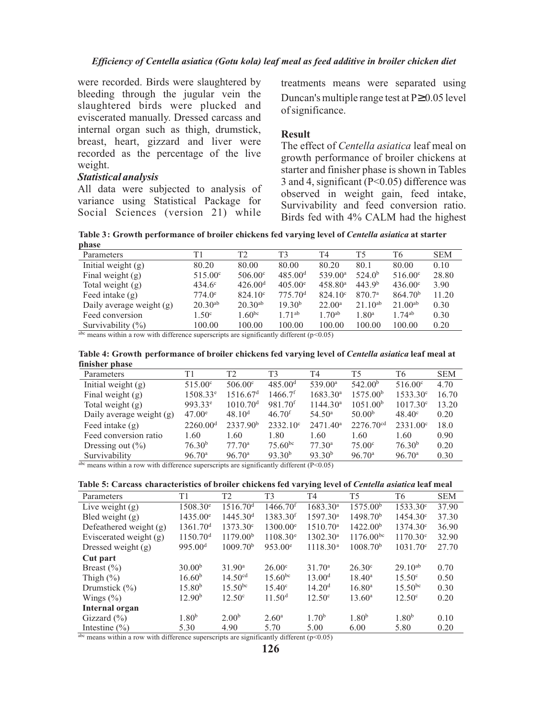#### *Efficiency of Centella asiatica (Gotu kola) leaf meal as feed additive in broiler chicken diet*

were recorded. Birds were slaughtered by bleeding through the jugular vein the slaughtered birds were plucked and eviscerated manually. Dressed carcass and internal organ such as thigh, drumstick, breast, heart, gizzard and liver were recorded as the percentage of the live weight.

#### *Statistical analysis*

All data were subjected to analysis of variance using Statistical Package for Social Sciences (version 21) while treatments means were separated using Duncan's multiple range test at P 0.05 level of significance.

# **Result**

The effect of *Centella asiatica* leaf meal on growth performance of broiler chickens at starter and finisher phase is shown in Tables 3 and 4, significant (P<0.05) difference was observed in weight gain, feed intake, Survivability and feed conversion ratio. Birds fed with 4% CALM had the highest

**Table 3: Growth performance of broiler chickens fed varying level of** *Centella asiatica* **at starter phase**

| press                      |                   |                     |                             |                                           |                    |                     |            |
|----------------------------|-------------------|---------------------|-----------------------------|-------------------------------------------|--------------------|---------------------|------------|
| Parameters                 | Τ1                | T2                  | T3                          | T4                                        | T5                 | T6                  | <b>SEM</b> |
| Initial weight $(g)$       | 80.20             | 80.00               | 80.00                       | 80.20                                     | 80.1               | 80.00               | 0.10       |
| Final weight $(g)$         | $515.00^{\circ}$  | $506.00^{\circ}$    | 485.00 <sup>d</sup>         | 539.00 <sup>a</sup>                       | 524.0 <sup>b</sup> | $516.00^{\circ}$    | 28.80      |
| Total weight (g)           | $434.6^{\circ}$   | 426.00 <sup>d</sup> | $405.00^{\circ}$            | $458.80^a$                                | 443.9 <sup>b</sup> | $436.00^{\circ}$    | 3.90       |
| Feed intake $(g)$          | $774.0^{\circ}$   | $824.10^{\circ}$    | 775.70 <sup>d</sup>         | $824.10^{\circ}$                          | 870.7 <sup>a</sup> | 864.70 <sup>b</sup> | 11.20      |
| Daily average weight $(g)$ | $20.30^{ab}$      | $20.30^{ab}$        | 19.30 <sup>b</sup>          | $22.00^a$                                 | $21.10^{ab}$       | $21.00^{ab}$        | 0.30       |
| Feed conversion            | 1.50 <sup>c</sup> | $1.60^{bc}$         | 1 $71^{ab}$                 | $1.70^{ab}$                               | 1.80 <sup>a</sup>  | $1.74^{ab}$         | 0.30       |
| Survivability $(\% )$      | 100.00            | 100.00              | 100.00                      | 100.00                                    | 100.00             | 100.00              | 0.20       |
| aha.<br><br>$\cdots$       |                   |                     | $\sim$ $\sim$ $\sim$ $\sim$ | $\sim$ $\sim$ $\sim$ $\sim$ $\sim$ $\sim$ |                    |                     |            |

<sup>abc</sup> means within a row with difference superscripts are significantly different ( $p$ <0.05)

**Table 4: Growth performance of broiler chickens fed varying level of** *Centella asiatica* **leaf meal at finisher phase**

| Parameters                 | Τ1                   | T2                   | T3                  | T4                   | T5                      | Т6                 | <b>SEM</b> |
|----------------------------|----------------------|----------------------|---------------------|----------------------|-------------------------|--------------------|------------|
| Initial weight $(g)$       | $515.00^{\circ}$     | 506.00 <sup>c</sup>  | 485.00 <sup>d</sup> | 539.00 <sup>a</sup>  | 542.00 <sup>b</sup>     | $516.00^{\circ}$   | 4.70       |
| Final weight $(g)$         | $1508.33^e$          | 1516.67 <sup>d</sup> | 1466.7 <sup>f</sup> | $1683.30^{a}$        | 1575.00 <sup>b</sup>    | $1533.30^{\circ}$  | 16.70      |
| Total weight $(g)$         | 993.33 <sup>e</sup>  | 1010.70 <sup>d</sup> | 981.70 <sup>f</sup> | 1144.30 <sup>a</sup> | 1051.00 <sup>b</sup>    | $1017.30^{\circ}$  | 13.20      |
| Daily average weight $(g)$ | $47.00^{\circ}$      | 48.10 <sup>d</sup>   | 46.70 <sup>f</sup>  | 54.50 <sup>a</sup>   | 50.00 <sup>b</sup>      | $48.40^{\circ}$    | 0.20       |
| Feed intake $(g)$          | 2260.00 <sup>d</sup> | 2337.90 <sup>b</sup> | $2332.10^{\circ}$   | $2471.40^a$          | $2276.70$ <sup>cd</sup> | $2331.00^{\circ}$  | 18.0       |
| Feed conversion ratio      | 1.60                 | 1.60                 | 1.80                | 1.60                 | 1.60                    | 1.60               | 0.90       |
| Dressing out $(\% )$       | 76.30 <sup>b</sup>   | 77.70 <sup>a</sup>   | $75.60^{bc}$        | 77.30 <sup>a</sup>   | $75.00^{\circ}$         | 76.30 <sup>b</sup> | 0.20       |
| Survivability              | 96.70 <sup>a</sup>   | 96.70 <sup>a</sup>   | 93.30 <sup>b</sup>  | 93.30 <sup>b</sup>   | 96.70 <sup>a</sup>      | 96.70 <sup>a</sup> | 0.30       |
|                            |                      |                      |                     |                      |                         |                    |            |

abc means within a row with difference superscripts are significantly different  $(P<0.05)$ 

| Parameters                                                     | Τ1                   | T <sub>2</sub>       | T <sub>3</sub>       | T4                                                | T5                   | T6                 | <b>SEM</b> |
|----------------------------------------------------------------|----------------------|----------------------|----------------------|---------------------------------------------------|----------------------|--------------------|------------|
| Live weight $(g)$                                              | $1508.30^{\circ}$    | 1516.70 <sup>d</sup> | 1466.70 <sup>f</sup> | $1683.30^{a}$                                     | 1575.00 <sup>b</sup> | $1533.30^{\circ}$  | 37.90      |
| Bled weight $(g)$                                              | $1435.00^{\circ}$    | 1445.30 <sup>d</sup> | 1383.30 <sup>f</sup> | 1597.30 <sup>a</sup>                              | 1498.70 <sup>b</sup> | $1454.30^{\circ}$  | 37.30      |
| Defeathered weight $(g)$                                       | 1361.70 <sup>d</sup> | $1373.30^{\circ}$    | $1300.00^e$          | 1510.70 <sup>a</sup>                              | 1422.00 <sup>b</sup> | $1374.30^{\circ}$  | 36.90      |
| Eviscerated weight $(g)$                                       | 1150.70 <sup>d</sup> | 1179.00 <sup>b</sup> | $1108.30^{\circ}$    | 1302.30 <sup>a</sup>                              | $1176.00^{bc}$       | $1170.30^{\circ}$  | 32.90      |
| Dressed weight $(g)$                                           | 995.00 <sup>d</sup>  | 1009.70 <sup>b</sup> | $953.00^{\circ}$     | 1118.30 <sup>a</sup>                              | 1008.70 <sup>b</sup> | $1031.70^{\circ}$  | 27.70      |
| Cut part                                                       |                      |                      |                      |                                                   |                      |                    |            |
| Breast $(\% )$                                                 | 30.00 <sup>b</sup>   | 31.90 <sup>a</sup>   | $26.00^{\circ}$      | 31.70 <sup>a</sup>                                | $26.30^{\circ}$      | $29.10^{ab}$       | 0.70       |
| Thigh $(\% )$                                                  | 16.60 <sup>b</sup>   | 14.50 <sup>cd</sup>  | $15.60^{bc}$         | 13.00 <sup>d</sup>                                | $18.40^a$            | $15.50^{\circ}$    | 0.50       |
| Drumstick $(\% )$                                              | 15.80 <sup>b</sup>   | $15.50^{bc}$         | $15.40^{\circ}$      | 14.20 <sup>d</sup>                                | 16.80 <sup>a</sup>   | $15.50^{bc}$       | 0.30       |
| Wings $(\%)$                                                   | 12.90 <sup>b</sup>   | 12.50 <sup>c</sup>   | 11.50 <sup>d</sup>   | 12.50 <sup>c</sup>                                | $13.60^{\circ}$      | 12.50 <sup>c</sup> | 0.20       |
| Internal organ                                                 |                      |                      |                      |                                                   |                      |                    |            |
| Gizzard $(\% )$                                                | $1.80^{b}$           | 2.00 <sup>b</sup>    | $2.60^{\rm a}$       | 1.70 <sup>b</sup>                                 | 1.80 <sup>b</sup>    | $1.80^{b}$         | 0.10       |
| Intestine $(\% )$<br>abc<br>$\cdot$ . $\cdot$<br>$1.1 - 11.00$ | 5.30                 | 4.90                 | 5.70<br>$1.1 - 1.00$ | 5.00<br>$\sim$ $\sim$ $\sim$ $\sim$ $\sim$ $\sim$ | 6.00                 | 5.80               | 0.20       |

means within a row with difference superscripts are significantly different ( $p$ <0.05)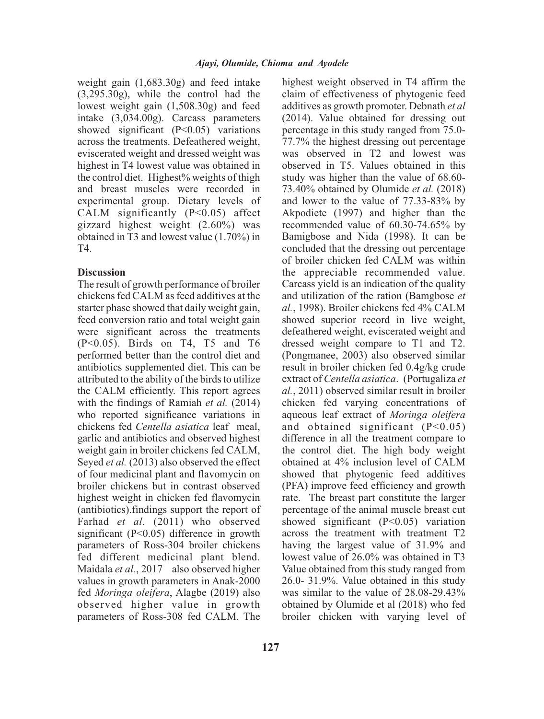weight gain (1,683.30g) and feed intake (3,295.30g), while the control had the lowest weight gain (1,508.30g) and feed intake (3,034.00g). Carcass parameters showed significant  $(P<0.05)$  variations across the treatments. Defeathered weight, eviscerated weight and dressed weight was highest in T4 lowest value was obtained in the control diet. Highest% weights of thigh and breast muscles were recorded in experimental group. Dietary levels of CALM significantly  $(P<0.05)$  affect gizzard highest weight (2.60%) was obtained in T3 and lowest value (1.70%) in T4.

#### **Discussion**

The result of growth performance of broiler chickens fed CALM as feed additives at the starter phase showed that daily weight gain, feed conversion ratio and total weight gain were significant across the treatments (P<0.05). Birds on T4, T5 and T6 performed better than the control diet and antibiotics supplemented diet. This can be attributed to the ability of the birds to utilize the CALM efficiently. This report agrees with the findings of Ramiah *et al.* (2014) who reported significance variations in chickens fed *Centella asiatica* leaf meal, garlic and antibiotics and observed highest weight gain in broiler chickens fed CALM, Seyed *et al.* (2013) also observed the effect of four medicinal plant and flavomycin on broiler chickens but in contrast observed highest weight in chicken fed flavomycin (antibiotics).findings support the report of Farhad *et al.* (2011) who observed significant (P<0.05) difference in growth parameters of Ross-304 broiler chickens fed different medicinal plant blend. Maidala *et al.*, 2017 also observed higher values in growth parameters in Anak-2000 fed *Moringa oleifera*, Alagbe (2019) also observed higher value in growth parameters of Ross-308 fed CALM. The

claim of effectiveness of phytogenic feed additives as growth promoter. Debnath *et al* (2014). Value obtained for dressing out percentage in this study ranged from 75.0- 77.7% the highest dressing out percentage was observed in T2 and lowest was observed in T5. Values obtained in this study was higher than the value of 68.60- 73.40% obtained by Olumide *et al.* (2018) and lower to the value of 77.33-83% by Akpodiete (1997) and higher than the recommended value of 60.30-74.65% by Bamigbose and Nida (1998). It can be concluded that the dressing out percentage of broiler chicken fed CALM was within the appreciable recommended value. Carcass yield is an indication of the quality and utilization of the ration (Bamgbose *et al.*, 1998). Broiler chickens fed 4% CALM showed superior record in live weight, defeathered weight, eviscerated weight and dressed weight compare to T1 and T2. (Pongmanee, 2003) also observed similar result in broiler chicken fed 0.4g/kg crude extract of *Centella asiatica*. (Portugaliza *et al.*, 2011) observed similar result in broiler chicken fed varying concentrations of aqueous leaf extract of *Moringa oleifera* and obtained significant (P<0.05) difference in all the treatment compare to the control diet. The high body weight obtained at 4% inclusion level of CALM showed that phytogenic feed additives (PFA) improve feed efficiency and growth rate. The breast part constitute the larger percentage of the animal muscle breast cut showed significant  $(P<0.05)$  variation across the treatment with treatment T2 having the largest value of 31.9% and lowest value of 26.0% was obtained in T3 Value obtained from this study ranged from 26.0- 31.9%. Value obtained in this study was similar to the value of 28.08-29.43% obtained by Olumide et al (2018) who fed broiler chicken with varying level of

highest weight observed in T4 affirm the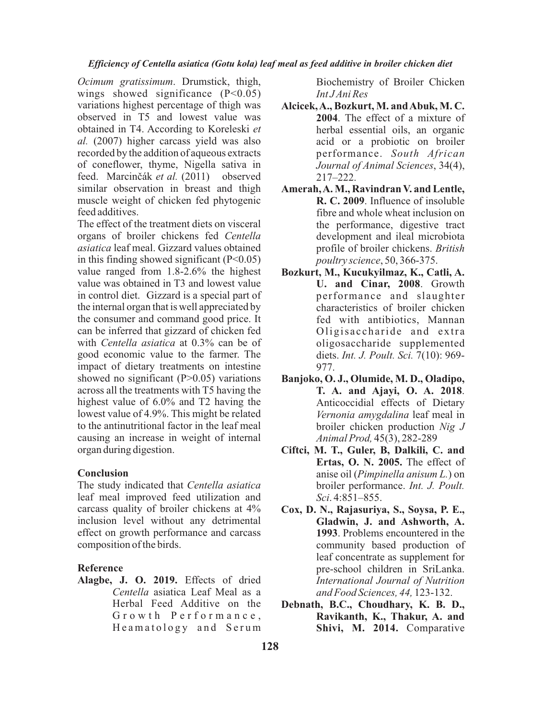*Ocimum gratissimum*. Drumstick, thigh, wings showed significance  $(P<0.05)$ variations highest percentage of thigh was observed in T5 and lowest value was obtained in T4. According to Koreleski *et al.* (2007) higher carcass yield was also recorded by the addition of aqueous extracts of coneflower, thyme, Nigella sativa in feed. Marcinèák *et al.* (2011) observed similar observation in breast and thigh muscle weight of chicken fed phytogenic feed additives.

The effect of the treatment diets on visceral organs of broiler chickens fed *Centella asiatica* leaf meal. Gizzard values obtained in this finding showed significant  $(P<0.05)$ value ranged from 1.8-2.6% the highest value was obtained in T3 and lowest value in control diet. Gizzard is a special part of the internal organ that is well appreciated by the consumer and command good price. It can be inferred that gizzard of chicken fed with *Centella asiatica* at 0.3% can be of good economic value to the farmer. The impact of dietary treatments on intestine showed no significant  $(P>0.05)$  variations across all the treatments with T5 having the highest value of 6.0% and T2 having the lowest value of 4.9%. This might be related to the antinutritional factor in the leaf meal causing an increase in weight of internal organ during digestion.

#### **Conclusion**

The study indicated that *Centella asiatica* leaf meal improved feed utilization and carcass quality of broiler chickens at 4% inclusion level without any detrimental effect on growth performance and carcass composition of the birds.

#### **Reference**

**Alagbe, J. O. 2019.** Effects of dried *Centella* asiatica Leaf Meal as a Herbal Feed Additive on the Growth Performance, Heamatology and Serum

Biochemistry of Broiler Chicken *Int J Ani Res*

- **Alcicek, A., Bozkurt, M. and Abuk, M. C. 2004**. The effect of a mixture of herbal essential oils, an organic acid or a probiotic on broiler performance. *South African Journal of Animal Sciences*, 34(4), 217–222.
- **Amerah, A. M., Ravindran V. and Lentle, R. C. 2009**. Influence of insoluble fibre and whole wheat inclusion on the performance, digestive tract development and ileal microbiota profile of broiler chickens. *British poultry science*, 50, 366-375.
- **Bozkurt, M., Kucukyilmaz, K., Catli, A. U. and Cinar, 2008**. Growth performance and slaughter characteristics of broiler chicken fed with antibiotics, Mannan Oligis a ccharide and extra oligosaccharide supplemented diets. *Int. J. Poult. Sci.* 7(10): 969- 977.
- **Banjoko, O. J., Olumide, M. D., Oladipo, T. A. and Ajayi, O. A. 2018**. Anticoccidial effects of Dietary *Vernonia amygdalina* leaf meal in broiler chicken production *Nig J Animal Prod,* 45(3), 282-289
- **Ciftci, M. T., Guler, B, Dalkili, C. and Ertas, O. N. 2005.** The effect of anise oil (*Pimpinella anisum L.*) on broiler performance. *Int. J. Poult. Sci*. 4:851–855.
- **Cox, D. N., Rajasuriya, S., Soysa, P. E., Gladwin, J. and Ashworth, A. 1993**. Problems encountered in the community based production of leaf concentrate as supplement for pre-school children in SriLanka. *International Journal of Nutrition and Food Sciences, 44,* 123-132.
- **Debnath, B.C., Choudhary, K. B. D., Ravikanth, K., Thakur, A. and Shivi, M. 2014.** Comparative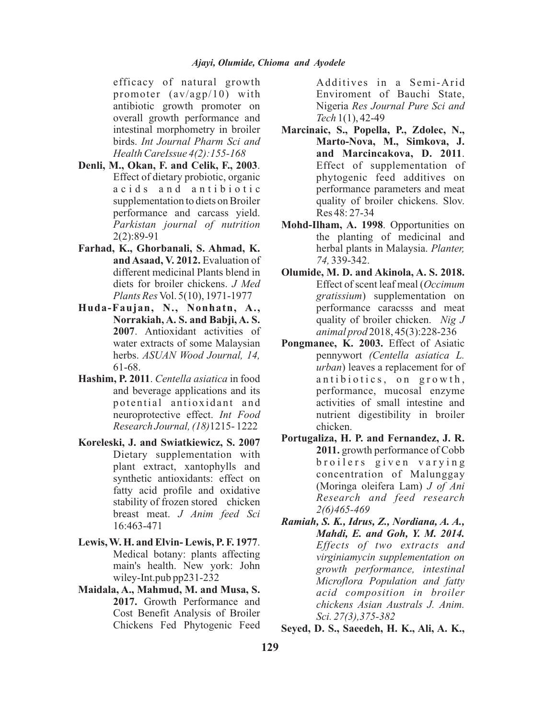efficacy of natural growth promoter (av/agp/10) with antibiotic growth promoter on overall growth performance and intestinal morphometry in broiler birds. *Int Journal Pharm Sci and Health CareIssue 4(2):155-168*

- **Denli, M., Okan, F. and Celik, F., 2003**. Effect of dietary probiotic, organic acids and antibiotic supplementation to diets on Broiler performance and carcass yield. *Parkistan journal of nutrition* 2(2):89-91
- **Farhad, K., Ghorbanali, S. Ahmad, K. and Asaad, V. 2012.** Evaluation of different medicinal Plants blend in diets for broiler chickens. *J Med Plants Res* Vol. 5(10), 1971-1977
- **Huda-Faujan, N., Nonhatn, A., Norrakiah, A. S. and Babji, A. S. 2007**. Antioxidant activities of water extracts of some Malaysian herbs. *ASUAN Wood Journal, 14,*  61-68.
- **Hashim, P. 2011**. *Centella asiatica* in food and beverage applications and its potential antioxidant and neuroprotective effect. *Int Food Research Journal, (18)*1215- 1222
- **Koreleski, J. and Swiatkiewicz, S. 2007** Dietary supplementation with plant extract, xantophylls and synthetic antioxidants: effect on fatty acid profile and oxidative stability of frozen stored chicken breast meat. *J Anim feed Sci* 16:463-471
- **Lewis, W. H. and Elvin- Lewis, P. F. 1977**. Medical botany: plants affecting main's health. New york: John wiley-Int.pub pp231-232
- **Maidala, A., Mahmud, M. and Musa, S. 2017.** Growth Performance and Cost Benefit Analysis of Broiler Chickens Fed Phytogenic Feed

Additives in a Semi-Arid Enviroment of Bauchi State, Nigeria *Res Journal Pure Sci and Tech* 1(1), 42-49

- **Marcinaic, S., Popella, P., Zdolec, N., Marto-Nova, M., Simkova, J. and Marcincakova, D. 2011**. Effect of supplementation of phytogenic feed additives on performance parameters and meat quality of broiler chickens. Slov. Res 48: 27-34
- **Mohd-Ilham, A. 1998**. Opportunities on the planting of medicinal and herbal plants in Malaysia. *Planter, 74,* 339-342.
- **Olumide, M. D. and Akinola, A. S. 2018.** Effect of scent leaf meal (*Occimum gratissium*) supplementation on performance caracsss and meat quality of broiler chicken. *Nig J animal prod* 2018, 45(3):228-236
- **Pongmanee, K. 2003.** Effect of Asiatic pennywort *(Centella asiatica L. urban*) leaves a replacement for of antibiotics, on growth, performance, mucosal enzyme activities of small intestine and nutrient digestibility in broiler chicken.
- **Portugaliza, H. P. and Fernandez, J. R. 2011.** growth performance of Cobb broilers given varying concentration of Malunggay (Moringa oleifera Lam) *J of Ani Research and feed research 2(6)465-469*
- *Ramiah, S. K., Idrus, Z., Nordiana, A. A., Mahdi, E. and Goh, Y. M. 2014. Effects of two extracts and virginiamycin supplementation on growth performance, intestinal Microflora Population and fatty acid composition in broiler chickens Asian Australs J. Anim. Sci. 27(3),375-382*

**Seyed, D. S., Saeedeh, H. K., Ali, A. K.,**